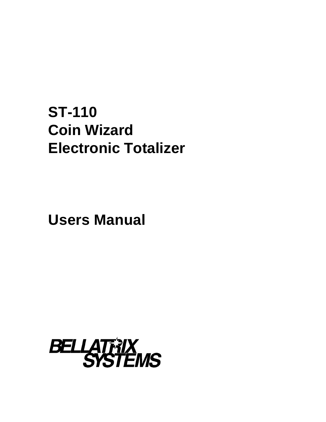# **ST-110 Coin Wizard Electronic Totalizer**

**Users Manual**

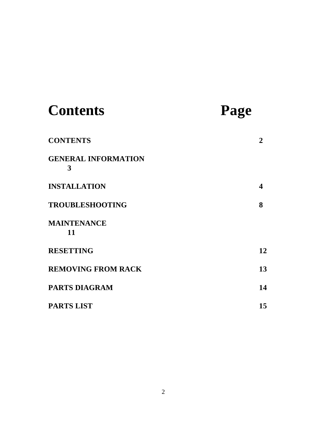| <b>Contents</b>                 | Page                    |
|---------------------------------|-------------------------|
| <b>CONTENTS</b>                 | 2                       |
| <b>GENERAL INFORMATION</b><br>3 |                         |
| <b>INSTALLATION</b>             | $\overline{\mathbf{4}}$ |
| <b>TROUBLESHOOTING</b>          | 8                       |
| <b>MAINTENANCE</b><br>11        |                         |
| <b>RESETTING</b>                | 12                      |
| <b>REMOVING FROM RACK</b>       | 13                      |
| <b>PARTS DIAGRAM</b>            | 14                      |
| <b>PARTS LIST</b>               | 15                      |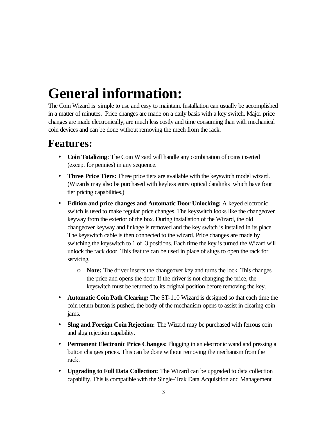# **General information:**

The Coin Wizard is simple to use and easy to maintain. Installation can usually be accomplished in a matter of minutes. Price changes are made on a daily basis with a key switch. Major price changes are made electronically, are much less costly and time consuming than with mechanical coin devices and can be done without removing the mech from the rack.

### **Features:**

- **Coin Totalizing**: The Coin Wizard will handle any combination of coins inserted (except for pennies) in any sequence.
- **Three Price Tiers:** Three price tiers are available with the keyswitch model wizard. (Wizards may also be purchased with keyless entry optical datalinks which have four tier pricing capabilities.)
- **Edition and price changes and Automatic Door Unlocking:** A keyed electronic switch is used to make regular price changes. The keyswitch looks like the changeover keyway from the exterior of the box. During installation of the Wizard, the old changeover keyway and linkage is removed and the key switch is installed in its place. The keyswitch cable is then connected to the wizard. Price changes are made by switching the keyswitch to 1 of 3 positions. Each time the key is turned the Wizard will unlock the rack door. This feature can be used in place of slugs to open the rack for servicing.
	- o **Note:** The driver inserts the changeover key and turns the lock. This changes the price and opens the door. If the driver is not changing the price, the keyswitch must be returned to its original position before removing the key.
- **Automatic Coin Path Clearing:** The ST-110 Wizard is designed so that each time the coin return button is pushed, the body of the mechanism opens to assist in clearing coin jams.
- **Slug and Foreign Coin Rejection:** The Wizard may be purchased with ferrous coin and slug rejection capability.
- **Permanent Electronic Price Changes:** Plugging in an electronic wand and pressing a button changes prices. This can be done without removing the mechanism from the rack.
- **Upgrading to Full Data Collection:** The Wizard can be upgraded to data collection capability. This is compatible with the Single-Trak Data Acquisition and Management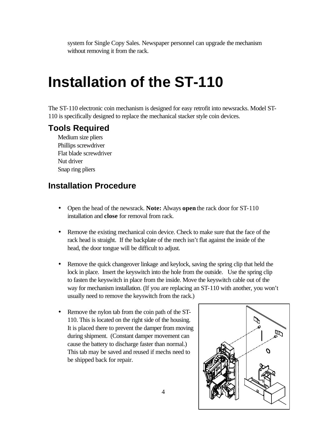system for Single Copy Sales. Newspaper personnel can upgrade the mechanism without removing it from the rack.

### **Installation of the ST-110**

The ST-110 electronic coin mechanism is designed for easy retrofit into newsracks. Model ST-110 is specifically designed to replace the mechanical stacker style coin devices.

#### **Tools Required**

Medium size pliers Phillips screwdriver Flat blade screwdriver Nut driver Snap ring pliers

#### **Installation Procedure**

- Open the head of the newsrack. **Note:** Always **open** the rack door for ST-110 installation and **close** for removal from rack.
- Remove the existing mechanical coin device. Check to make sure that the face of the rack head is straight. If the backplate of the mech isn't flat against the inside of the head, the door tongue will be difficult to adjust.
- Remove the quick changeover linkage and keylock, saving the spring clip that held the lock in place. Insert the keyswitch into the hole from the outside. Use the spring clip to fasten the keyswitch in place from the inside. Move the keyswitch cable out of the way for mechanism installation. (If you are replacing an ST-110 with another, you won't usually need to remove the keyswitch from the rack.)
- Remove the nylon tab from the coin path of the ST-110. This is located on the right side of the housing. It is placed there to prevent the damper from moving during shipment. (Constant damper movement can cause the battery to discharge faster than normal.) This tab may be saved and reused if mechs need to be shipped back for repair.

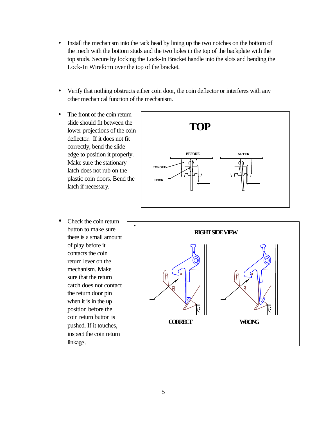- Install the mechanism into the rack head by lining up the two notches on the bottom of the mech with the bottom studs and the two holes in the top of the backplate with the top studs. Secure by locking the Lock-In Bracket handle into the slots and bending the Lock-In Wireform over the top of the bracket.
- Verify that nothing obstructs either coin door, the coin deflector or interferes with any other mechanical function of the mechanism.
- The front of the coin return slide should fit between the lower projections of the coin deflector. If it does not fit correctly, bend the slide edge to position it properly. Make sure the stationary latch does not rub on the plastic coin doors. Bend the latch if necessary.
- **BEFORE AFTER TOP TONGUE HOOK**
- Check the coin return button to make sure there is a small amount of play before it contacts the coin return lever on the mechanism. Make sure that the return catch does not contact the return door pin when it is in the up position before the coin return button is pushed. If it touches, inspect the coin return linkage.

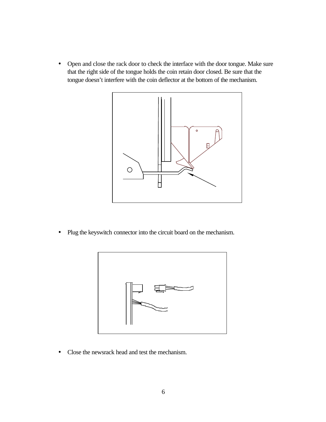• Open and close the rack door to check the interface with the door tongue. Make sure that the right side of the tongue holds the coin retain door closed. Be sure that the tongue doesn't interfere with the coin deflector at the bottom of the mechanism.



• Plug the keyswitch connector into the circuit board on the mechanism.



• Close the newsrack head and test the mechanism.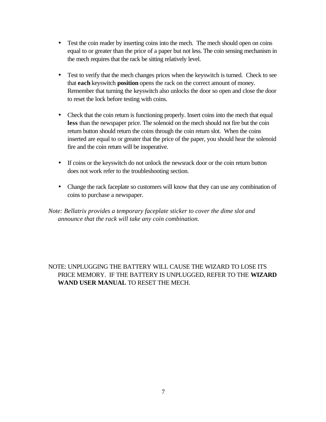- Test the coin reader by inserting coins into the mech. The mech should open on coins equal to or greater than the price of a paper but not less. The coin sensing mechanism in the mech requires that the rack be sitting relatively level.
- Test to verify that the mech changes prices when the keyswitch is turned. Check to see that **each** keyswitch **position** opens the rack on the correct amount of money. Remember that turning the keyswitch also unlocks the door so open and close the door to reset the lock before testing with coins.
- Check that the coin return is functioning properly. Insert coins into the mech that equal **less** than the newspaper price. The solenoid on the mech should not fire but the coin return button should return the coins through the coin return slot. When the coins inserted are equal to or greater that the price of the paper, you should hear the solenoid fire and the coin return will be inoperative.
- If coins or the keyswitch do not unlock the newsrack door or the coin return button does not work refer to the troubleshooting section.
- Change the rack faceplate so customers will know that they can use any combination of coins to purchase a newspaper.

*Note: Bellatrix provides a temporary faceplate sticker to cover the dime slot and announce that the rack will take any coin combination.*

#### NOTE: UNPLUGGING THE BATTERY WILL CAUSE THE WIZARD TO LOSE ITS PRICE MEMORY. IF THE BATTERY IS UNPLUGGED, REFER TO THE **WIZARD WAND USER MANUAL** TO RESET THE MECH.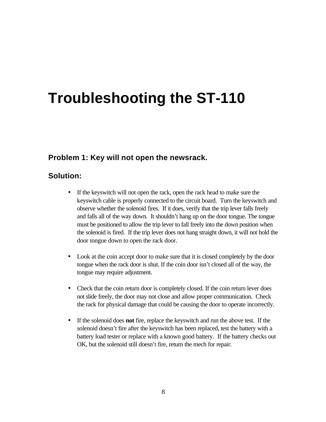## **Troubleshooting the ST-110**

#### **Problem 1: Key will not open the newsrack.**

#### **Solution:**

- If the keyswitch will not open the rack, open the rack head to make sure the keyswitch cable is properly connected to the circuit board. Turn the keyswitch and observe whether the solenoid fires. If it does, verify that the trip lever falls freely and falls all of the way down. It shouldn't hang up on the door tongue. The tongue must be positioned to allow the trip lever to fall freely into the down position when the solenoid is fired. If the trip lever does not hang straight down, it will not hold the door tongue down to open the rack door.
- Look at the coin accept door to make sure that it is closed completely by the door tongue when the rack door is shut. If the coin door isn't closed all of the way, the tongue may require adjustment.
- Check that the coin return door is completely closed. If the coin return lever does not slide freely, the door may not close and allow proper communication. Check the rack for physical damage that could be causing the door to operate incorrectly.
- If the solenoid does **not** fire, replace the keyswitch and run the above test. If the solenoid doesn't fire after the keyswitch has been replaced, test the battery with a battery load tester or replace with a known good battery. If the battery checks out OK, but the solenoid still doesn't fire, return the mech for repair.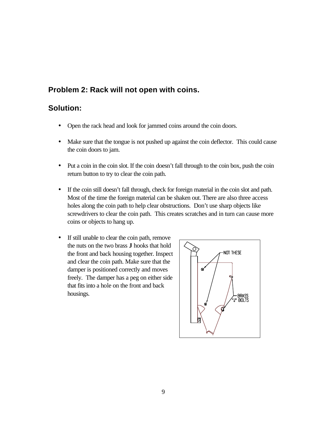#### **Problem 2: Rack will not open with coins.**

#### **Solution:**

- Open the rack head and look for jammed coins around the coin doors.
- Make sure that the tongue is not pushed up against the coin deflector. This could cause the coin doors to jam.
- Put a coin in the coin slot. If the coin doesn't fall through to the coin box, push the coin return button to try to clear the coin path.
- If the coin still doesn't fall through, check for foreign material in the coin slot and path. Most of the time the foreign material can be shaken out. There are also three access holes along the coin path to help clear obstructions. Don't use sharp objects like screwdrivers to clear the coin path. This creates scratches and in turn can cause more coins or objects to hang up.
- If still unable to clear the coin path, remove the nuts on the two brass **J** hooks that hold the front and back housing together. Inspect and clear the coin path. Make sure that the damper is positioned correctly and moves freely. The damper has a peg on either side that fits into a hole on the front and back housings.

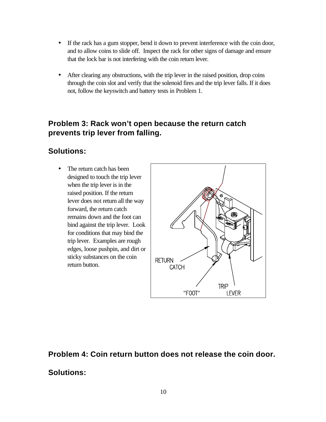- If the rack has a gum stopper, bend it down to prevent interference with the coin door, and to allow coins to slide off. Inspect the rack for other signs of damage and ensure that the lock bar is not interfering with the coin return lever.
- After clearing any obstructions, with the trip lever in the raised position, drop coins through the coin slot and verify that the solenoid fires and the trip lever falls. If it does not, follow the keyswitch and battery tests in Problem 1.

#### **Problem 3: Rack won't open because the return catch prevents trip lever from falling.**

#### **Solutions:**

• The return catch has been designed to touch the trip lever when the trip lever is in the raised position. If the return lever does not return all the way forward, the return catch remains down and the foot can bind against the trip lever. Look for conditions that may bind the trip lever. Examples are rough edges, loose pushpin, and dirt or sticky substances on the coin return button.



### **Problem 4: Coin return button does not release the coin door.**

#### **Solutions:**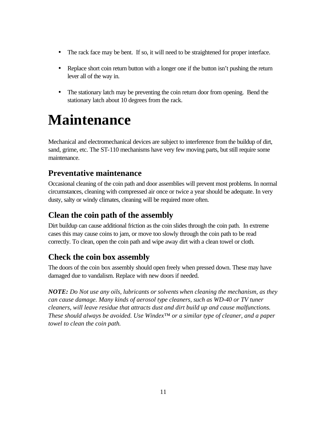- The rack face may be bent. If so, it will need to be straightened for proper interface.
- Replace short coin return button with a longer one if the button isn't pushing the return lever all of the way in.
- The stationary latch may be preventing the coin return door from opening. Bend the stationary latch about 10 degrees from the rack.

### **Maintenance**

Mechanical and electromechanical devices are subject to interference from the buildup of dirt, sand, grime, etc. The ST-110 mechanisms have very few moving parts, but still require some maintenance.

#### **Preventative maintenance**

Occasional cleaning of the coin path and door assemblies will prevent most problems. In normal circumstances, cleaning with compressed air once or twice a year should be adequate. In very dusty, salty or windy climates, cleaning will be required more often.

#### **Clean the coin path of the assembly**

Dirt buildup can cause additional friction as the coin slides through the coin path. In extreme cases this may cause coins to jam, or move too slowly through the coin path to be read correctly. To clean, open the coin path and wipe away dirt with a clean towel or cloth.

#### **Check the coin box assembly**

The doors of the coin box assembly should open freely when pressed down. These may have damaged due to vandalism. Replace with new doors if needed.

*NOTE: Do Not use any oils, lubricants or solvents when cleaning the mechanism, as they can cause damage. Many kinds of aerosol type cleaners, such as WD-40 or TV tuner cleaners, will leave residue that attracts dust and dirt build up and cause malfunctions. These should always be avoided. Use Windex™ or a similar type of cleaner, and a paper towel to clean the coin path.*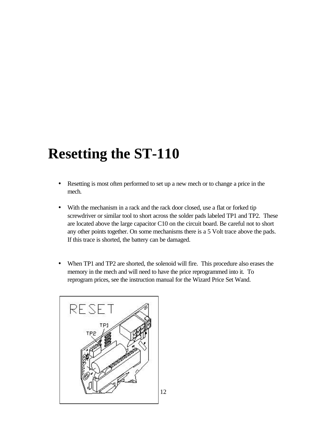# **Resetting the ST-110**

- Resetting is most often performed to set up a new mech or to change a price in the mech.
- With the mechanism in a rack and the rack door closed, use a flat or forked tip screwdriver or similar tool to short across the solder pads labeled TP1 and TP2. These are located above the large capacitor C10 on the circuit board. Be careful not to short any other points together. On some mechanisms there is a 5 Volt trace above the pads. If this trace is shorted, the battery can be damaged.
- When TP1 and TP2 are shorted, the solenoid will fire. This procedure also erases the memory in the mech and will need to have the price reprogrammed into it. To reprogram prices, see the instruction manual for the Wizard Price Set Wand.

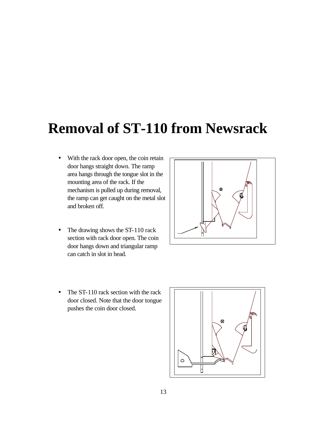### **Removal of ST-110 from Newsrack**

- With the rack door open, the coin retain door hangs straight down. The ramp area hangs through the tongue slot in the mounting area of the rack. If the mechanism is pulled up during removal, the ramp can get caught on the metal slot and broken off.
- The drawing shows the ST-110 rack section with rack door open. The coin door hangs down and triangular ramp can catch in slot in head.



• The ST-110 rack section with the rack door closed. Note that the door tongue pushes the coin door closed.

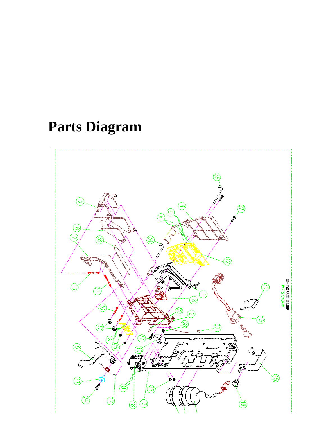**Parts Diagram**